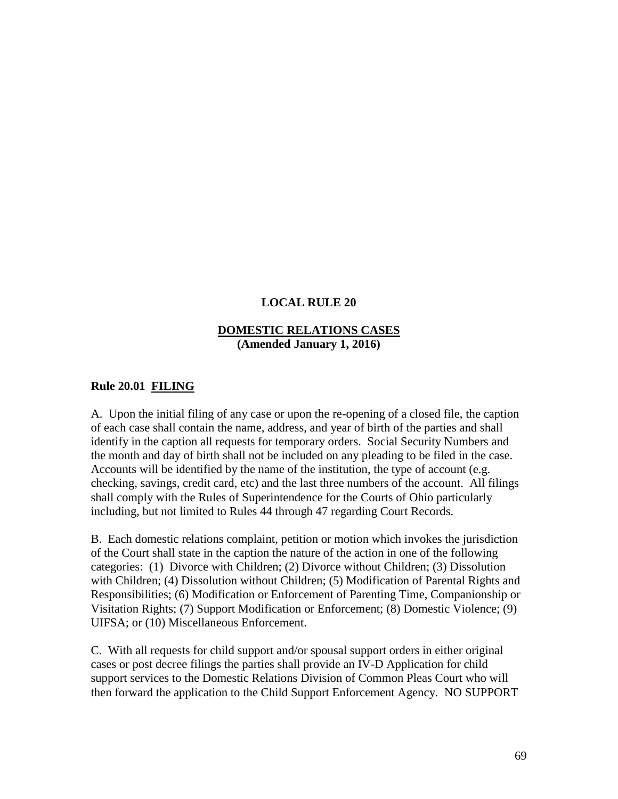# **LOCAL RULE 20**

## **DOMESTIC RELATIONS CASES (Amended January 1, 2016)**

## **Rule 20.01 FILING**

A. Upon the initial filing of any case or upon the re-opening of a closed file, the caption of each case shall contain the name, address, and year of birth of the parties and shall identify in the caption all requests for temporary orders. Social Security Numbers and the month and day of birth shall not be included on any pleading to be filed in the case. Accounts will be identified by the name of the institution, the type of account (e.g. checking, savings, credit card, etc) and the last three numbers of the account. All filings shall comply with the Rules of Superintendence for the Courts of Ohio particularly including, but not limited to Rules 44 through 47 regarding Court Records.

B. Each domestic relations complaint, petition or motion which invokes the jurisdiction of the Court shall state in the caption the nature of the action in one of the following categories: (1) Divorce with Children; (2) Divorce without Children; (3) Dissolution with Children; (4) Dissolution without Children; (5) Modification of Parental Rights and Responsibilities; (6) Modification or Enforcement of Parenting Time, Companionship or Visitation Rights; (7) Support Modification or Enforcement; (8) Domestic Violence; (9) UIFSA; or (10) Miscellaneous Enforcement.

C. With all requests for child support and/or spousal support orders in either original cases or post decree filings the parties shall provide an IV-D Application for child support services to the Domestic Relations Division of Common Pleas Court who will then forward the application to the Child Support Enforcement Agency. NO SUPPORT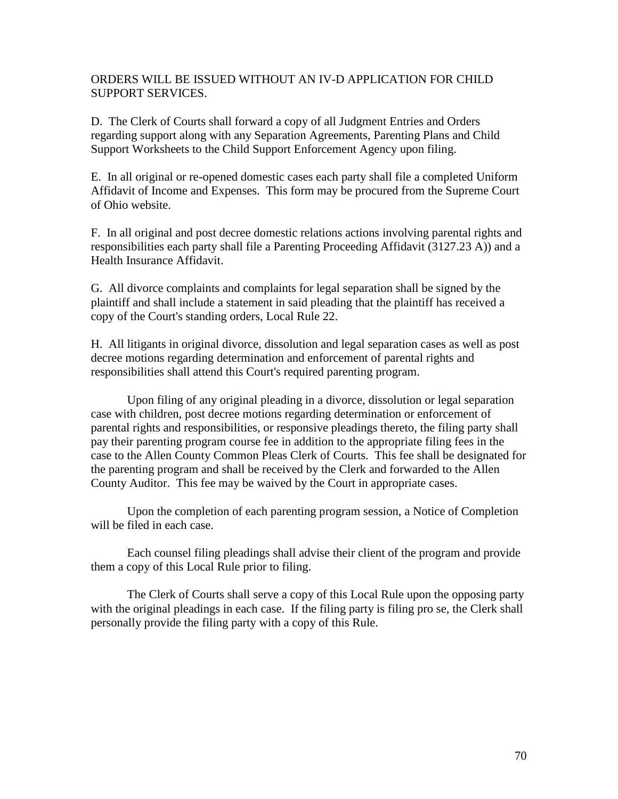## ORDERS WILL BE ISSUED WITHOUT AN IV-D APPLICATION FOR CHILD SUPPORT SERVICES.

D. The Clerk of Courts shall forward a copy of all Judgment Entries and Orders regarding support along with any Separation Agreements, Parenting Plans and Child Support Worksheets to the Child Support Enforcement Agency upon filing.

E. In all original or re-opened domestic cases each party shall file a completed Uniform Affidavit of Income and Expenses. This form may be procured from the Supreme Court of Ohio website.

F. In all original and post decree domestic relations actions involving parental rights and responsibilities each party shall file a Parenting Proceeding Affidavit (3127.23 A)) and a Health Insurance Affidavit.

G. All divorce complaints and complaints for legal separation shall be signed by the plaintiff and shall include a statement in said pleading that the plaintiff has received a copy of the Court's standing orders, Local Rule 22.

H. All litigants in original divorce, dissolution and legal separation cases as well as post decree motions regarding determination and enforcement of parental rights and responsibilities shall attend this Court's required parenting program.

Upon filing of any original pleading in a divorce, dissolution or legal separation case with children, post decree motions regarding determination or enforcement of parental rights and responsibilities, or responsive pleadings thereto, the filing party shall pay their parenting program course fee in addition to the appropriate filing fees in the case to the Allen County Common Pleas Clerk of Courts. This fee shall be designated for the parenting program and shall be received by the Clerk and forwarded to the Allen County Auditor. This fee may be waived by the Court in appropriate cases.

Upon the completion of each parenting program session, a Notice of Completion will be filed in each case.

Each counsel filing pleadings shall advise their client of the program and provide them a copy of this Local Rule prior to filing.

The Clerk of Courts shall serve a copy of this Local Rule upon the opposing party with the original pleadings in each case. If the filing party is filing pro se, the Clerk shall personally provide the filing party with a copy of this Rule.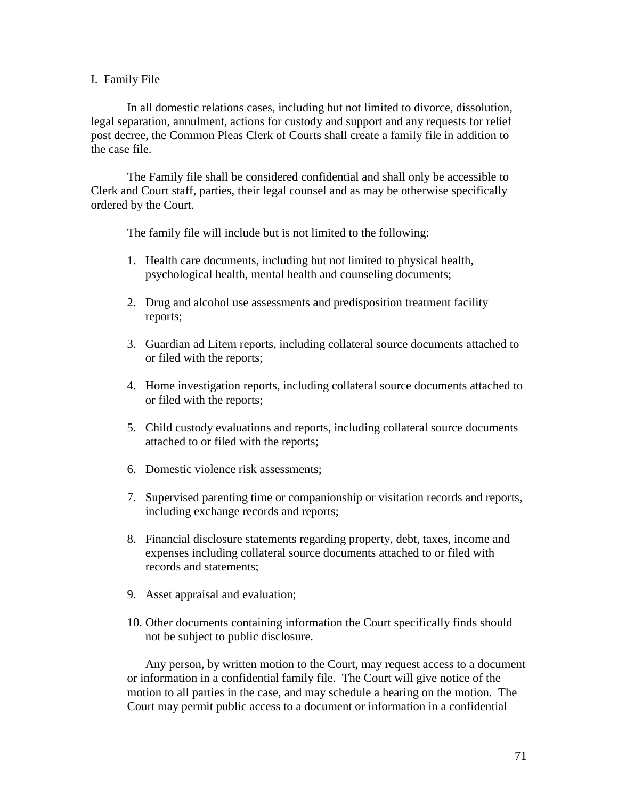#### I. Family File

In all domestic relations cases, including but not limited to divorce, dissolution, legal separation, annulment, actions for custody and support and any requests for relief post decree, the Common Pleas Clerk of Courts shall create a family file in addition to the case file.

The Family file shall be considered confidential and shall only be accessible to Clerk and Court staff, parties, their legal counsel and as may be otherwise specifically ordered by the Court.

The family file will include but is not limited to the following:

- 1. Health care documents, including but not limited to physical health, psychological health, mental health and counseling documents;
- 2. Drug and alcohol use assessments and predisposition treatment facility reports;
- 3. Guardian ad Litem reports, including collateral source documents attached to or filed with the reports;
- 4. Home investigation reports, including collateral source documents attached to or filed with the reports;
- 5. Child custody evaluations and reports, including collateral source documents attached to or filed with the reports;
- 6. Domestic violence risk assessments;
- 7. Supervised parenting time or companionship or visitation records and reports, including exchange records and reports;
- 8. Financial disclosure statements regarding property, debt, taxes, income and expenses including collateral source documents attached to or filed with records and statements;
- 9. Asset appraisal and evaluation;
- 10. Other documents containing information the Court specifically finds should not be subject to public disclosure.

Any person, by written motion to the Court, may request access to a document or information in a confidential family file. The Court will give notice of the motion to all parties in the case, and may schedule a hearing on the motion. The Court may permit public access to a document or information in a confidential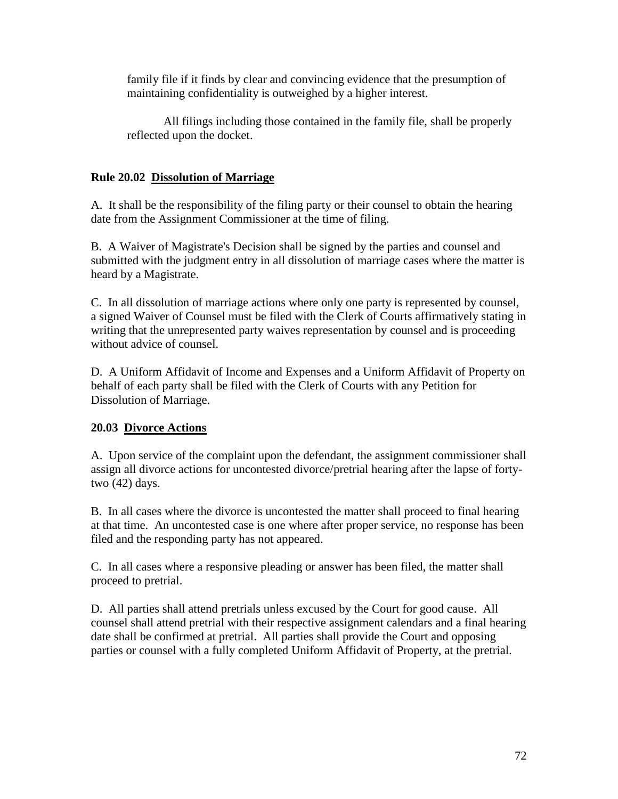family file if it finds by clear and convincing evidence that the presumption of maintaining confidentiality is outweighed by a higher interest.

All filings including those contained in the family file, shall be properly reflected upon the docket.

# **Rule 20.02 Dissolution of Marriage**

A. It shall be the responsibility of the filing party or their counsel to obtain the hearing date from the Assignment Commissioner at the time of filing.

B. A Waiver of Magistrate's Decision shall be signed by the parties and counsel and submitted with the judgment entry in all dissolution of marriage cases where the matter is heard by a Magistrate.

C. In all dissolution of marriage actions where only one party is represented by counsel, a signed Waiver of Counsel must be filed with the Clerk of Courts affirmatively stating in writing that the unrepresented party waives representation by counsel and is proceeding without advice of counsel.

D. A Uniform Affidavit of Income and Expenses and a Uniform Affidavit of Property on behalf of each party shall be filed with the Clerk of Courts with any Petition for Dissolution of Marriage.

# **20.03 Divorce Actions**

A. Upon service of the complaint upon the defendant, the assignment commissioner shall assign all divorce actions for uncontested divorce/pretrial hearing after the lapse of fortytwo (42) days.

B. In all cases where the divorce is uncontested the matter shall proceed to final hearing at that time. An uncontested case is one where after proper service, no response has been filed and the responding party has not appeared.

C. In all cases where a responsive pleading or answer has been filed, the matter shall proceed to pretrial.

D. All parties shall attend pretrials unless excused by the Court for good cause. All counsel shall attend pretrial with their respective assignment calendars and a final hearing date shall be confirmed at pretrial. All parties shall provide the Court and opposing parties or counsel with a fully completed Uniform Affidavit of Property, at the pretrial.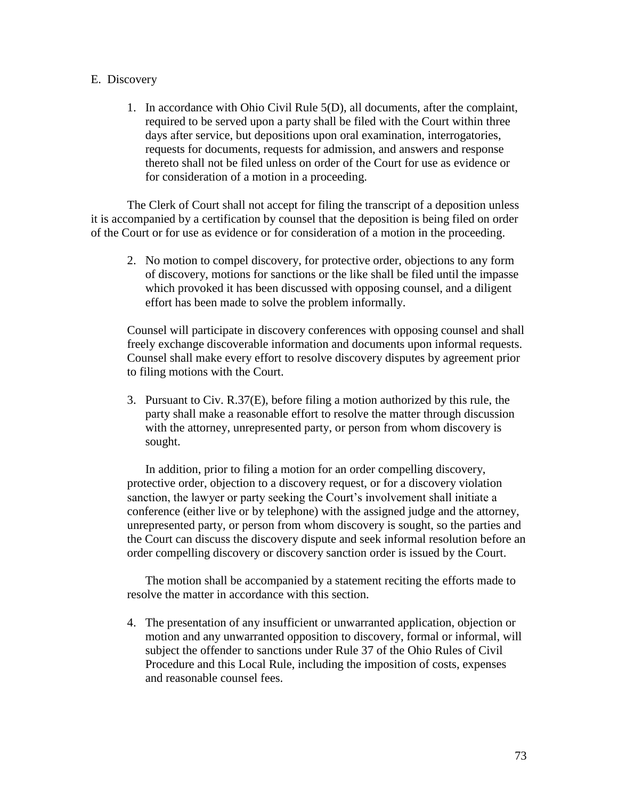## E. Discovery

1. In accordance with Ohio Civil Rule 5(D), all documents, after the complaint, required to be served upon a party shall be filed with the Court within three days after service, but depositions upon oral examination, interrogatories, requests for documents, requests for admission, and answers and response thereto shall not be filed unless on order of the Court for use as evidence or for consideration of a motion in a proceeding.

The Clerk of Court shall not accept for filing the transcript of a deposition unless it is accompanied by a certification by counsel that the deposition is being filed on order of the Court or for use as evidence or for consideration of a motion in the proceeding.

2. No motion to compel discovery, for protective order, objections to any form of discovery, motions for sanctions or the like shall be filed until the impasse which provoked it has been discussed with opposing counsel, and a diligent effort has been made to solve the problem informally.

Counsel will participate in discovery conferences with opposing counsel and shall freely exchange discoverable information and documents upon informal requests. Counsel shall make every effort to resolve discovery disputes by agreement prior to filing motions with the Court.

3. Pursuant to Civ. R.37(E), before filing a motion authorized by this rule, the party shall make a reasonable effort to resolve the matter through discussion with the attorney, unrepresented party, or person from whom discovery is sought.

In addition, prior to filing a motion for an order compelling discovery, protective order, objection to a discovery request, or for a discovery violation sanction, the lawyer or party seeking the Court's involvement shall initiate a conference (either live or by telephone) with the assigned judge and the attorney, unrepresented party, or person from whom discovery is sought, so the parties and the Court can discuss the discovery dispute and seek informal resolution before an order compelling discovery or discovery sanction order is issued by the Court.

The motion shall be accompanied by a statement reciting the efforts made to resolve the matter in accordance with this section.

4. The presentation of any insufficient or unwarranted application, objection or motion and any unwarranted opposition to discovery, formal or informal, will subject the offender to sanctions under Rule 37 of the Ohio Rules of Civil Procedure and this Local Rule, including the imposition of costs, expenses and reasonable counsel fees.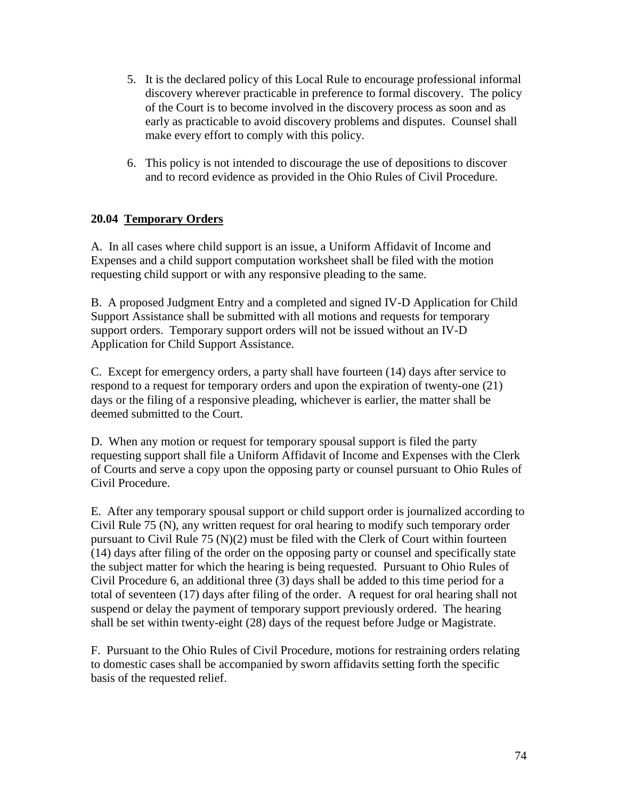- 5. It is the declared policy of this Local Rule to encourage professional informal discovery wherever practicable in preference to formal discovery. The policy of the Court is to become involved in the discovery process as soon and as early as practicable to avoid discovery problems and disputes. Counsel shall make every effort to comply with this policy.
- 6. This policy is not intended to discourage the use of depositions to discover and to record evidence as provided in the Ohio Rules of Civil Procedure.

# **20.04 Temporary Orders**

A. In all cases where child support is an issue, a Uniform Affidavit of Income and Expenses and a child support computation worksheet shall be filed with the motion requesting child support or with any responsive pleading to the same.

B. A proposed Judgment Entry and a completed and signed IV-D Application for Child Support Assistance shall be submitted with all motions and requests for temporary support orders. Temporary support orders will not be issued without an IV-D Application for Child Support Assistance.

C. Except for emergency orders, a party shall have fourteen (14) days after service to respond to a request for temporary orders and upon the expiration of twenty-one (21) days or the filing of a responsive pleading, whichever is earlier, the matter shall be deemed submitted to the Court.

D. When any motion or request for temporary spousal support is filed the party requesting support shall file a Uniform Affidavit of Income and Expenses with the Clerk of Courts and serve a copy upon the opposing party or counsel pursuant to Ohio Rules of Civil Procedure.

E. After any temporary spousal support or child support order is journalized according to Civil Rule 75 (N), any written request for oral hearing to modify such temporary order pursuant to Civil Rule 75 (N)(2) must be filed with the Clerk of Court within fourteen (14) days after filing of the order on the opposing party or counsel and specifically state the subject matter for which the hearing is being requested. Pursuant to Ohio Rules of Civil Procedure 6, an additional three (3) days shall be added to this time period for a total of seventeen (17) days after filing of the order. A request for oral hearing shall not suspend or delay the payment of temporary support previously ordered. The hearing shall be set within twenty-eight (28) days of the request before Judge or Magistrate.

F. Pursuant to the Ohio Rules of Civil Procedure, motions for restraining orders relating to domestic cases shall be accompanied by sworn affidavits setting forth the specific basis of the requested relief.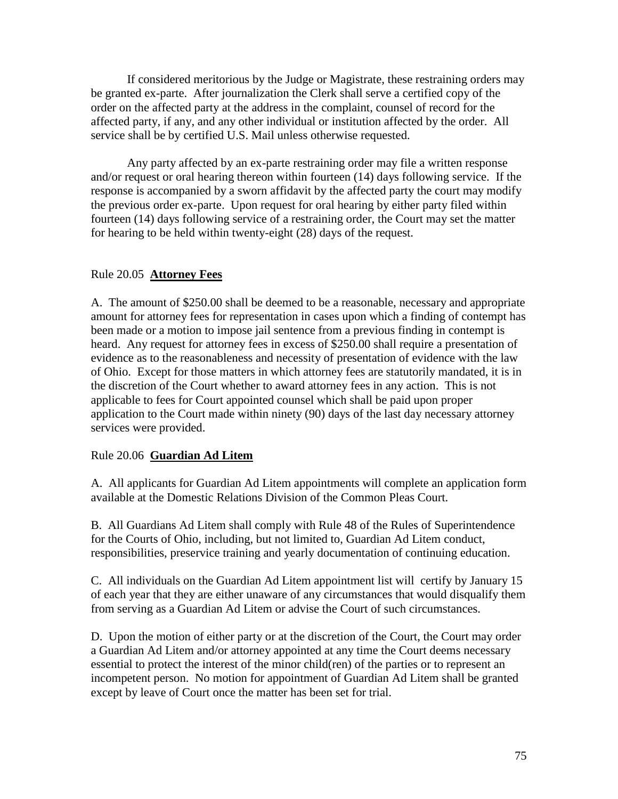If considered meritorious by the Judge or Magistrate, these restraining orders may be granted ex-parte. After journalization the Clerk shall serve a certified copy of the order on the affected party at the address in the complaint, counsel of record for the affected party, if any, and any other individual or institution affected by the order. All service shall be by certified U.S. Mail unless otherwise requested.

Any party affected by an ex-parte restraining order may file a written response and/or request or oral hearing thereon within fourteen (14) days following service. If the response is accompanied by a sworn affidavit by the affected party the court may modify the previous order ex-parte. Upon request for oral hearing by either party filed within fourteen (14) days following service of a restraining order, the Court may set the matter for hearing to be held within twenty-eight (28) days of the request.

# Rule 20.05 **Attorney Fees**

A. The amount of \$250.00 shall be deemed to be a reasonable, necessary and appropriate amount for attorney fees for representation in cases upon which a finding of contempt has been made or a motion to impose jail sentence from a previous finding in contempt is heard. Any request for attorney fees in excess of \$250.00 shall require a presentation of evidence as to the reasonableness and necessity of presentation of evidence with the law of Ohio. Except for those matters in which attorney fees are statutorily mandated, it is in the discretion of the Court whether to award attorney fees in any action. This is not applicable to fees for Court appointed counsel which shall be paid upon proper application to the Court made within ninety (90) days of the last day necessary attorney services were provided.

# Rule 20.06 **Guardian Ad Litem**

A. All applicants for Guardian Ad Litem appointments will complete an application form available at the Domestic Relations Division of the Common Pleas Court.

B. All Guardians Ad Litem shall comply with Rule 48 of the Rules of Superintendence for the Courts of Ohio, including, but not limited to, Guardian Ad Litem conduct, responsibilities, preservice training and yearly documentation of continuing education.

C. All individuals on the Guardian Ad Litem appointment list will certify by January 15 of each year that they are either unaware of any circumstances that would disqualify them from serving as a Guardian Ad Litem or advise the Court of such circumstances.

D. Upon the motion of either party or at the discretion of the Court, the Court may order a Guardian Ad Litem and/or attorney appointed at any time the Court deems necessary essential to protect the interest of the minor child(ren) of the parties or to represent an incompetent person. No motion for appointment of Guardian Ad Litem shall be granted except by leave of Court once the matter has been set for trial.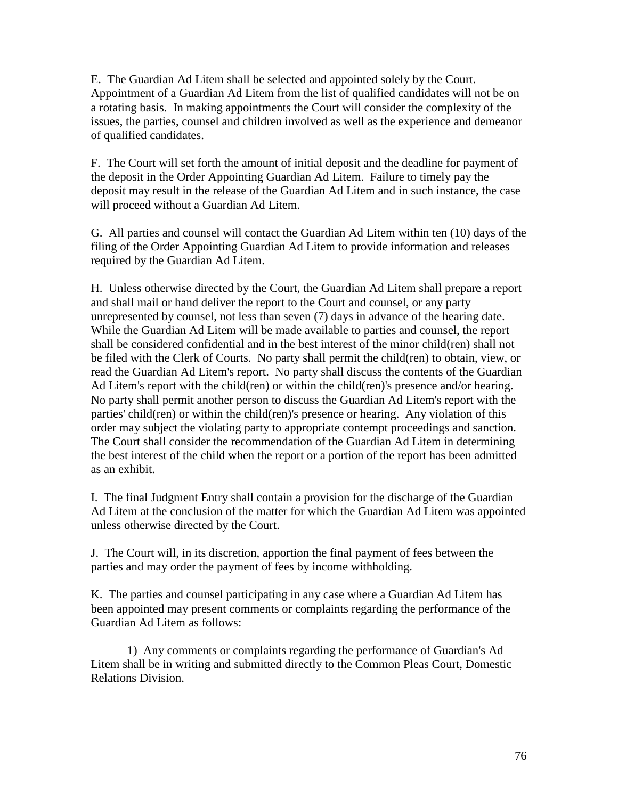E. The Guardian Ad Litem shall be selected and appointed solely by the Court. Appointment of a Guardian Ad Litem from the list of qualified candidates will not be on a rotating basis. In making appointments the Court will consider the complexity of the issues, the parties, counsel and children involved as well as the experience and demeanor of qualified candidates.

F. The Court will set forth the amount of initial deposit and the deadline for payment of the deposit in the Order Appointing Guardian Ad Litem. Failure to timely pay the deposit may result in the release of the Guardian Ad Litem and in such instance, the case will proceed without a Guardian Ad Litem.

G. All parties and counsel will contact the Guardian Ad Litem within ten (10) days of the filing of the Order Appointing Guardian Ad Litem to provide information and releases required by the Guardian Ad Litem.

H. Unless otherwise directed by the Court, the Guardian Ad Litem shall prepare a report and shall mail or hand deliver the report to the Court and counsel, or any party unrepresented by counsel, not less than seven (7) days in advance of the hearing date. While the Guardian Ad Litem will be made available to parties and counsel, the report shall be considered confidential and in the best interest of the minor child(ren) shall not be filed with the Clerk of Courts. No party shall permit the child(ren) to obtain, view, or read the Guardian Ad Litem's report. No party shall discuss the contents of the Guardian Ad Litem's report with the child(ren) or within the child(ren)'s presence and/or hearing. No party shall permit another person to discuss the Guardian Ad Litem's report with the parties' child(ren) or within the child(ren)'s presence or hearing. Any violation of this order may subject the violating party to appropriate contempt proceedings and sanction. The Court shall consider the recommendation of the Guardian Ad Litem in determining the best interest of the child when the report or a portion of the report has been admitted as an exhibit.

I. The final Judgment Entry shall contain a provision for the discharge of the Guardian Ad Litem at the conclusion of the matter for which the Guardian Ad Litem was appointed unless otherwise directed by the Court.

J. The Court will, in its discretion, apportion the final payment of fees between the parties and may order the payment of fees by income withholding.

K. The parties and counsel participating in any case where a Guardian Ad Litem has been appointed may present comments or complaints regarding the performance of the Guardian Ad Litem as follows:

1) Any comments or complaints regarding the performance of Guardian's Ad Litem shall be in writing and submitted directly to the Common Pleas Court, Domestic Relations Division.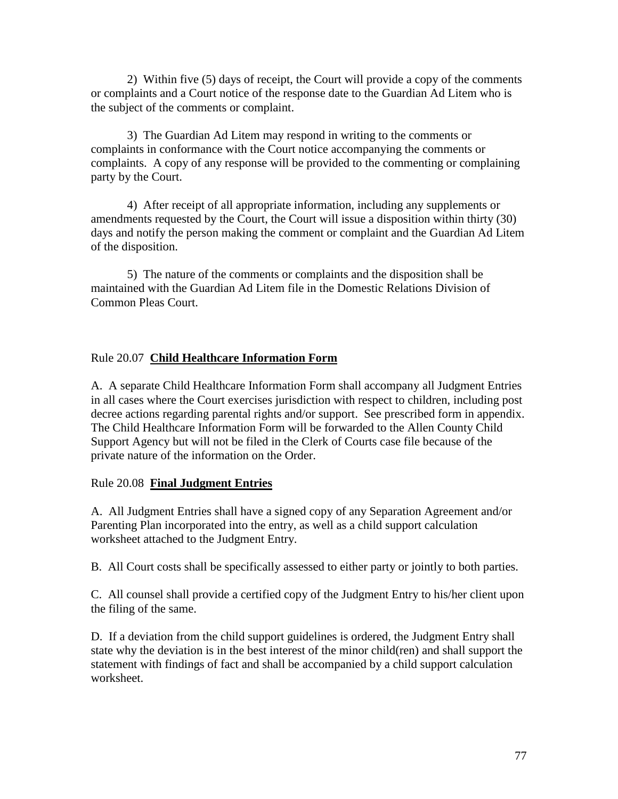2) Within five (5) days of receipt, the Court will provide a copy of the comments or complaints and a Court notice of the response date to the Guardian Ad Litem who is the subject of the comments or complaint.

3) The Guardian Ad Litem may respond in writing to the comments or complaints in conformance with the Court notice accompanying the comments or complaints. A copy of any response will be provided to the commenting or complaining party by the Court.

4) After receipt of all appropriate information, including any supplements or amendments requested by the Court, the Court will issue a disposition within thirty (30) days and notify the person making the comment or complaint and the Guardian Ad Litem of the disposition.

5) The nature of the comments or complaints and the disposition shall be maintained with the Guardian Ad Litem file in the Domestic Relations Division of Common Pleas Court.

# Rule 20.07 **Child Healthcare Information Form**

A. A separate Child Healthcare Information Form shall accompany all Judgment Entries in all cases where the Court exercises jurisdiction with respect to children, including post decree actions regarding parental rights and/or support. See prescribed form in appendix. The Child Healthcare Information Form will be forwarded to the Allen County Child Support Agency but will not be filed in the Clerk of Courts case file because of the private nature of the information on the Order.

# Rule 20.08 **Final Judgment Entries**

A. All Judgment Entries shall have a signed copy of any Separation Agreement and/or Parenting Plan incorporated into the entry, as well as a child support calculation worksheet attached to the Judgment Entry.

B. All Court costs shall be specifically assessed to either party or jointly to both parties.

C. All counsel shall provide a certified copy of the Judgment Entry to his/her client upon the filing of the same.

D. If a deviation from the child support guidelines is ordered, the Judgment Entry shall state why the deviation is in the best interest of the minor child(ren) and shall support the statement with findings of fact and shall be accompanied by a child support calculation worksheet.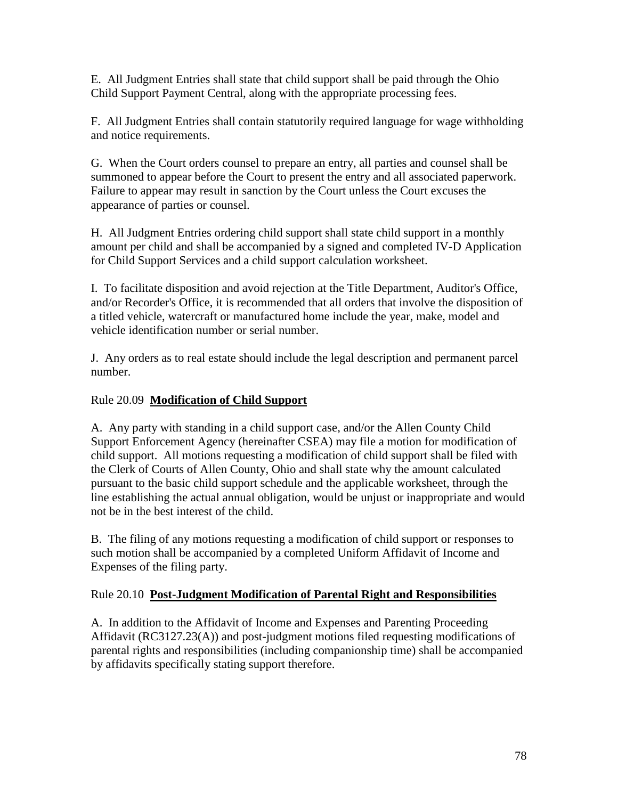E. All Judgment Entries shall state that child support shall be paid through the Ohio Child Support Payment Central, along with the appropriate processing fees.

F. All Judgment Entries shall contain statutorily required language for wage withholding and notice requirements.

G. When the Court orders counsel to prepare an entry, all parties and counsel shall be summoned to appear before the Court to present the entry and all associated paperwork. Failure to appear may result in sanction by the Court unless the Court excuses the appearance of parties or counsel.

H. All Judgment Entries ordering child support shall state child support in a monthly amount per child and shall be accompanied by a signed and completed IV-D Application for Child Support Services and a child support calculation worksheet.

I. To facilitate disposition and avoid rejection at the Title Department, Auditor's Office, and/or Recorder's Office, it is recommended that all orders that involve the disposition of a titled vehicle, watercraft or manufactured home include the year, make, model and vehicle identification number or serial number.

J. Any orders as to real estate should include the legal description and permanent parcel number.

# Rule 20.09 **Modification of Child Support**

A. Any party with standing in a child support case, and/or the Allen County Child Support Enforcement Agency (hereinafter CSEA) may file a motion for modification of child support. All motions requesting a modification of child support shall be filed with the Clerk of Courts of Allen County, Ohio and shall state why the amount calculated pursuant to the basic child support schedule and the applicable worksheet, through the line establishing the actual annual obligation, would be unjust or inappropriate and would not be in the best interest of the child.

B. The filing of any motions requesting a modification of child support or responses to such motion shall be accompanied by a completed Uniform Affidavit of Income and Expenses of the filing party.

# Rule 20.10 **Post-Judgment Modification of Parental Right and Responsibilities**

A. In addition to the Affidavit of Income and Expenses and Parenting Proceeding Affidavit (RC3127.23(A)) and post-judgment motions filed requesting modifications of parental rights and responsibilities (including companionship time) shall be accompanied by affidavits specifically stating support therefore.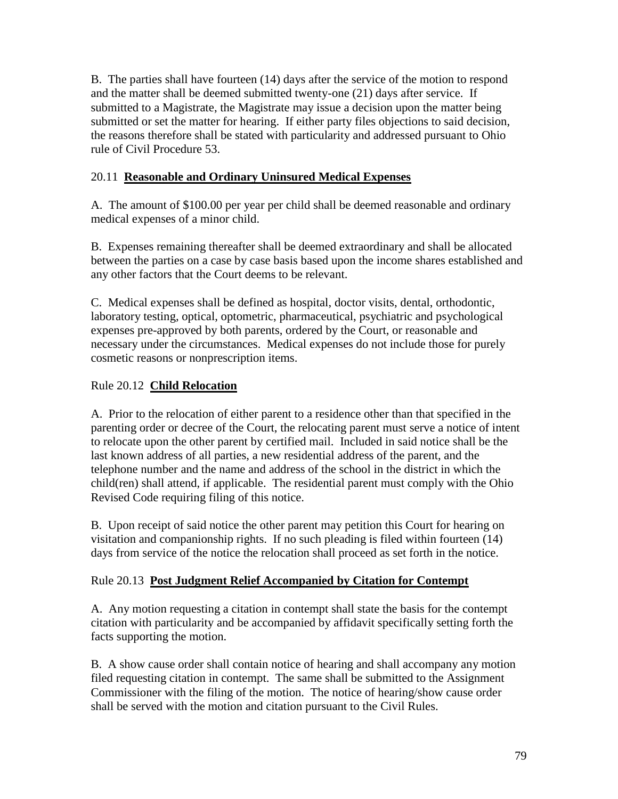B. The parties shall have fourteen (14) days after the service of the motion to respond and the matter shall be deemed submitted twenty-one (21) days after service. If submitted to a Magistrate, the Magistrate may issue a decision upon the matter being submitted or set the matter for hearing. If either party files objections to said decision, the reasons therefore shall be stated with particularity and addressed pursuant to Ohio rule of Civil Procedure 53.

# 20.11 **Reasonable and Ordinary Uninsured Medical Expenses**

A. The amount of \$100.00 per year per child shall be deemed reasonable and ordinary medical expenses of a minor child.

B. Expenses remaining thereafter shall be deemed extraordinary and shall be allocated between the parties on a case by case basis based upon the income shares established and any other factors that the Court deems to be relevant.

C. Medical expenses shall be defined as hospital, doctor visits, dental, orthodontic, laboratory testing, optical, optometric, pharmaceutical, psychiatric and psychological expenses pre-approved by both parents, ordered by the Court, or reasonable and necessary under the circumstances. Medical expenses do not include those for purely cosmetic reasons or nonprescription items.

# Rule 20.12 **Child Relocation**

A. Prior to the relocation of either parent to a residence other than that specified in the parenting order or decree of the Court, the relocating parent must serve a notice of intent to relocate upon the other parent by certified mail. Included in said notice shall be the last known address of all parties, a new residential address of the parent, and the telephone number and the name and address of the school in the district in which the child(ren) shall attend, if applicable. The residential parent must comply with the Ohio Revised Code requiring filing of this notice.

B. Upon receipt of said notice the other parent may petition this Court for hearing on visitation and companionship rights. If no such pleading is filed within fourteen (14) days from service of the notice the relocation shall proceed as set forth in the notice.

# Rule 20.13 **Post Judgment Relief Accompanied by Citation for Contempt**

A. Any motion requesting a citation in contempt shall state the basis for the contempt citation with particularity and be accompanied by affidavit specifically setting forth the facts supporting the motion.

B. A show cause order shall contain notice of hearing and shall accompany any motion filed requesting citation in contempt. The same shall be submitted to the Assignment Commissioner with the filing of the motion. The notice of hearing/show cause order shall be served with the motion and citation pursuant to the Civil Rules.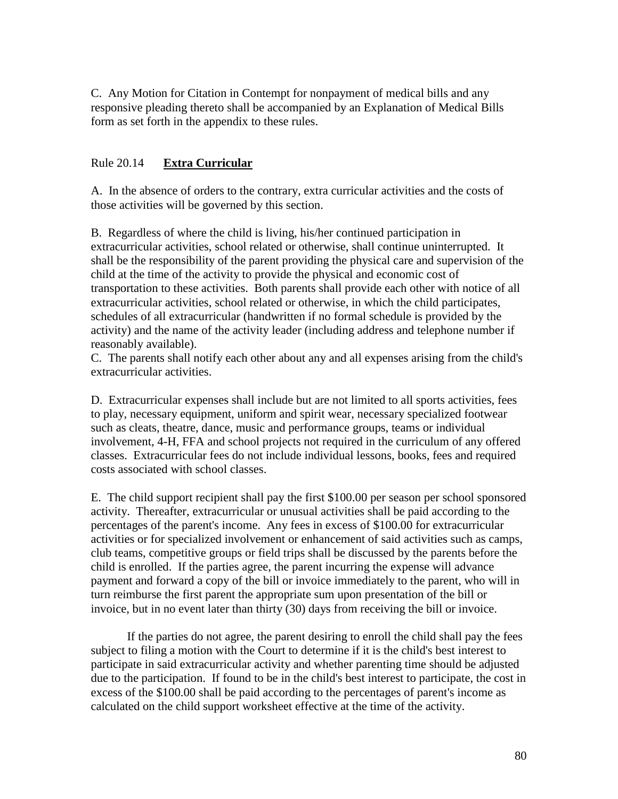C. Any Motion for Citation in Contempt for nonpayment of medical bills and any responsive pleading thereto shall be accompanied by an Explanation of Medical Bills form as set forth in the appendix to these rules.

## Rule 20.14 **Extra Curricular**

A. In the absence of orders to the contrary, extra curricular activities and the costs of those activities will be governed by this section.

B. Regardless of where the child is living, his/her continued participation in extracurricular activities, school related or otherwise, shall continue uninterrupted. It shall be the responsibility of the parent providing the physical care and supervision of the child at the time of the activity to provide the physical and economic cost of transportation to these activities. Both parents shall provide each other with notice of all extracurricular activities, school related or otherwise, in which the child participates, schedules of all extracurricular (handwritten if no formal schedule is provided by the activity) and the name of the activity leader (including address and telephone number if reasonably available).

C. The parents shall notify each other about any and all expenses arising from the child's extracurricular activities.

D. Extracurricular expenses shall include but are not limited to all sports activities, fees to play, necessary equipment, uniform and spirit wear, necessary specialized footwear such as cleats, theatre, dance, music and performance groups, teams or individual involvement, 4-H, FFA and school projects not required in the curriculum of any offered classes. Extracurricular fees do not include individual lessons, books, fees and required costs associated with school classes.

E. The child support recipient shall pay the first \$100.00 per season per school sponsored activity. Thereafter, extracurricular or unusual activities shall be paid according to the percentages of the parent's income. Any fees in excess of \$100.00 for extracurricular activities or for specialized involvement or enhancement of said activities such as camps, club teams, competitive groups or field trips shall be discussed by the parents before the child is enrolled. If the parties agree, the parent incurring the expense will advance payment and forward a copy of the bill or invoice immediately to the parent, who will in turn reimburse the first parent the appropriate sum upon presentation of the bill or invoice, but in no event later than thirty (30) days from receiving the bill or invoice.

If the parties do not agree, the parent desiring to enroll the child shall pay the fees subject to filing a motion with the Court to determine if it is the child's best interest to participate in said extracurricular activity and whether parenting time should be adjusted due to the participation. If found to be in the child's best interest to participate, the cost in excess of the \$100.00 shall be paid according to the percentages of parent's income as calculated on the child support worksheet effective at the time of the activity.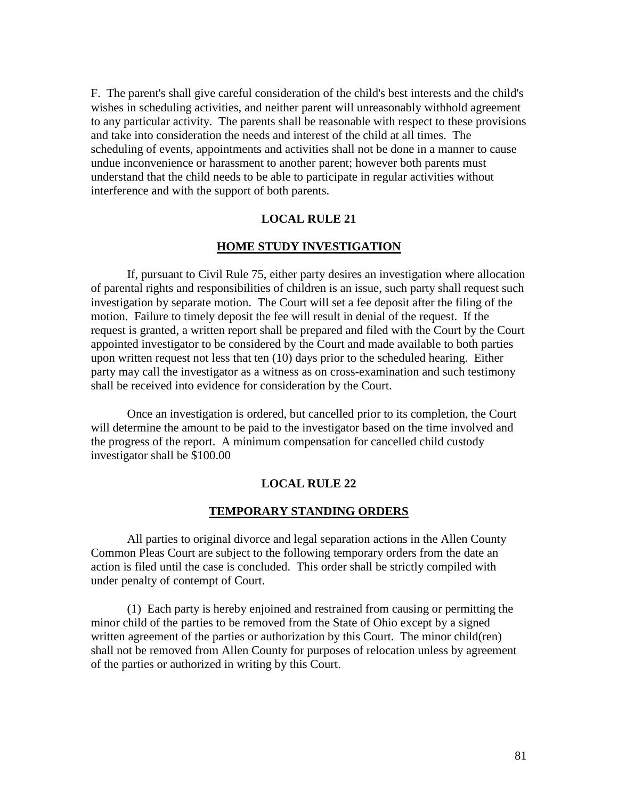F. The parent's shall give careful consideration of the child's best interests and the child's wishes in scheduling activities, and neither parent will unreasonably withhold agreement to any particular activity. The parents shall be reasonable with respect to these provisions and take into consideration the needs and interest of the child at all times. The scheduling of events, appointments and activities shall not be done in a manner to cause undue inconvenience or harassment to another parent; however both parents must understand that the child needs to be able to participate in regular activities without interference and with the support of both parents.

#### **LOCAL RULE 21**

#### **HOME STUDY INVESTIGATION**

If, pursuant to Civil Rule 75, either party desires an investigation where allocation of parental rights and responsibilities of children is an issue, such party shall request such investigation by separate motion. The Court will set a fee deposit after the filing of the motion. Failure to timely deposit the fee will result in denial of the request. If the request is granted, a written report shall be prepared and filed with the Court by the Court appointed investigator to be considered by the Court and made available to both parties upon written request not less that ten (10) days prior to the scheduled hearing. Either party may call the investigator as a witness as on cross-examination and such testimony shall be received into evidence for consideration by the Court.

Once an investigation is ordered, but cancelled prior to its completion, the Court will determine the amount to be paid to the investigator based on the time involved and the progress of the report. A minimum compensation for cancelled child custody investigator shall be \$100.00

#### **LOCAL RULE 22**

#### **TEMPORARY STANDING ORDERS**

All parties to original divorce and legal separation actions in the Allen County Common Pleas Court are subject to the following temporary orders from the date an action is filed until the case is concluded. This order shall be strictly compiled with under penalty of contempt of Court.

(1) Each party is hereby enjoined and restrained from causing or permitting the minor child of the parties to be removed from the State of Ohio except by a signed written agreement of the parties or authorization by this Court. The minor child(ren) shall not be removed from Allen County for purposes of relocation unless by agreement of the parties or authorized in writing by this Court.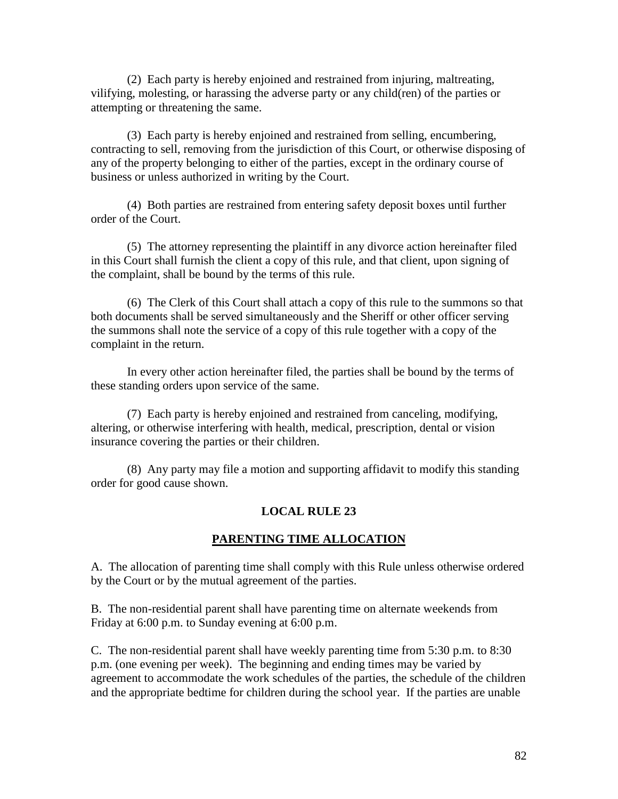(2) Each party is hereby enjoined and restrained from injuring, maltreating, vilifying, molesting, or harassing the adverse party or any child(ren) of the parties or attempting or threatening the same.

(3) Each party is hereby enjoined and restrained from selling, encumbering, contracting to sell, removing from the jurisdiction of this Court, or otherwise disposing of any of the property belonging to either of the parties, except in the ordinary course of business or unless authorized in writing by the Court.

(4) Both parties are restrained from entering safety deposit boxes until further order of the Court.

(5) The attorney representing the plaintiff in any divorce action hereinafter filed in this Court shall furnish the client a copy of this rule, and that client, upon signing of the complaint, shall be bound by the terms of this rule.

(6) The Clerk of this Court shall attach a copy of this rule to the summons so that both documents shall be served simultaneously and the Sheriff or other officer serving the summons shall note the service of a copy of this rule together with a copy of the complaint in the return.

In every other action hereinafter filed, the parties shall be bound by the terms of these standing orders upon service of the same.

(7) Each party is hereby enjoined and restrained from canceling, modifying, altering, or otherwise interfering with health, medical, prescription, dental or vision insurance covering the parties or their children.

(8) Any party may file a motion and supporting affidavit to modify this standing order for good cause shown.

# **LOCAL RULE 23**

## **PARENTING TIME ALLOCATION**

A. The allocation of parenting time shall comply with this Rule unless otherwise ordered by the Court or by the mutual agreement of the parties.

B. The non-residential parent shall have parenting time on alternate weekends from Friday at 6:00 p.m. to Sunday evening at 6:00 p.m.

C. The non-residential parent shall have weekly parenting time from 5:30 p.m. to 8:30 p.m. (one evening per week). The beginning and ending times may be varied by agreement to accommodate the work schedules of the parties, the schedule of the children and the appropriate bedtime for children during the school year. If the parties are unable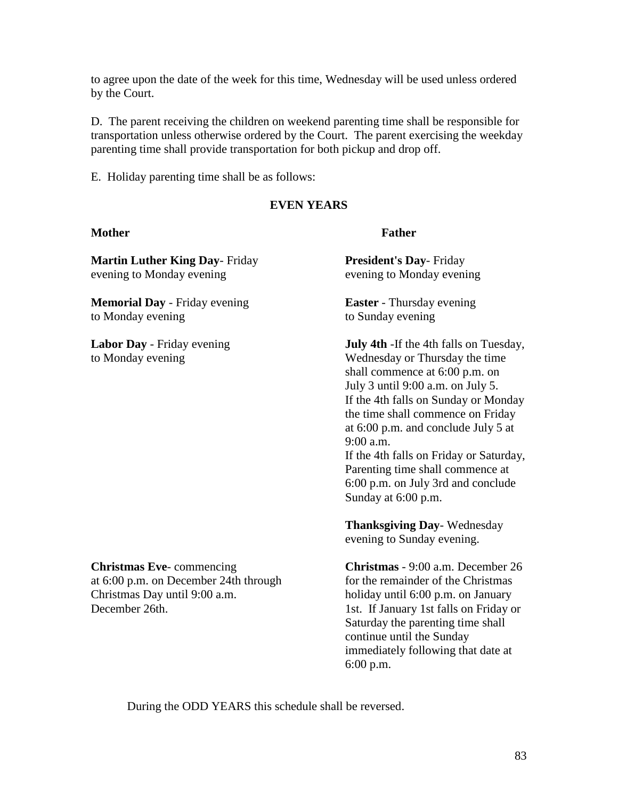to agree upon the date of the week for this time, Wednesday will be used unless ordered by the Court.

D. The parent receiving the children on weekend parenting time shall be responsible for transportation unless otherwise ordered by the Court. The parent exercising the weekday parenting time shall provide transportation for both pickup and drop off.

E. Holiday parenting time shall be as follows:

# **EVEN YEARS**

## **Mother Father**

**Martin Luther King Day**- Friday **President's Day**- Friday evening to Monday evening evening to Monday evening

**Memorial Day** - Friday evening **Easter** - Thursday evening to Monday evening to Sunday evening

**Labor Day** - Friday evening **July 4th** - If the 4th falls on Tuesday, to Monday evening Wednesday or Thursday the time shall commence at 6:00 p.m. on July 3 until 9:00 a.m. on July 5. If the 4th falls on Sunday or Monday the time shall commence on Friday at 6:00 p.m. and conclude July 5 at 9:00 a.m.

If the 4th falls on Friday or Saturday, Parenting time shall commence at 6:00 p.m. on July 3rd and conclude Sunday at 6:00 p.m.

**Thanksgiving Day**- Wednesday evening to Sunday evening.

**Christmas Eve**- commencing **Christmas** - 9:00 a.m. December 26 holiday until 6:00 p.m. on January Saturday the parenting time shall continue until the Sunday immediately following that date at 6:00 p.m.

at 6:00 p.m. on December 24th through for the remainder of the Christmas<br>Christmas Dav until 9:00 a.m. holiday until 6:00 p.m. on January December 26th. 1st. If January 1st falls on Friday or

During the ODD YEARS this schedule shall be reversed.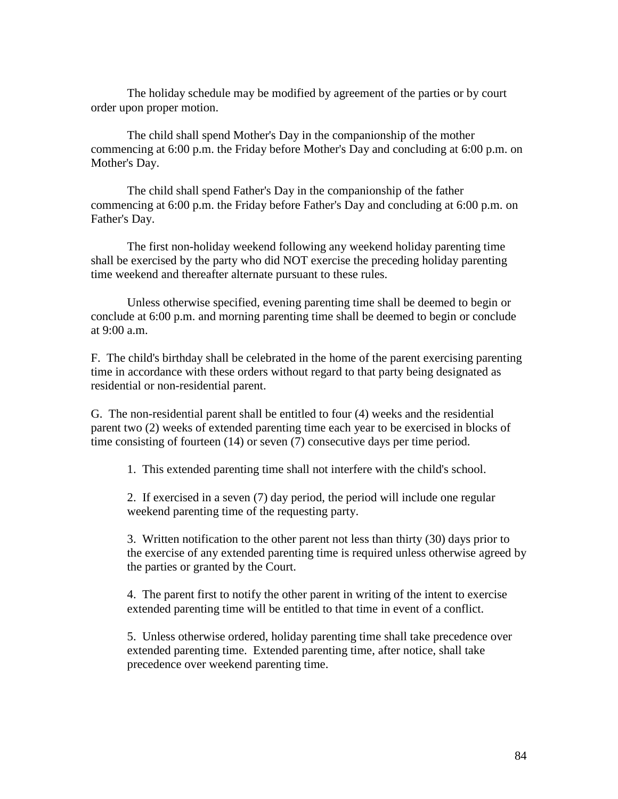The holiday schedule may be modified by agreement of the parties or by court order upon proper motion.

The child shall spend Mother's Day in the companionship of the mother commencing at 6:00 p.m. the Friday before Mother's Day and concluding at 6:00 p.m. on Mother's Day.

The child shall spend Father's Day in the companionship of the father commencing at 6:00 p.m. the Friday before Father's Day and concluding at 6:00 p.m. on Father's Day.

The first non-holiday weekend following any weekend holiday parenting time shall be exercised by the party who did NOT exercise the preceding holiday parenting time weekend and thereafter alternate pursuant to these rules.

Unless otherwise specified, evening parenting time shall be deemed to begin or conclude at 6:00 p.m. and morning parenting time shall be deemed to begin or conclude at 9:00 a.m.

F. The child's birthday shall be celebrated in the home of the parent exercising parenting time in accordance with these orders without regard to that party being designated as residential or non-residential parent.

G. The non-residential parent shall be entitled to four (4) weeks and the residential parent two (2) weeks of extended parenting time each year to be exercised in blocks of time consisting of fourteen (14) or seven (7) consecutive days per time period.

1. This extended parenting time shall not interfere with the child's school.

2. If exercised in a seven (7) day period, the period will include one regular weekend parenting time of the requesting party.

3. Written notification to the other parent not less than thirty (30) days prior to the exercise of any extended parenting time is required unless otherwise agreed by the parties or granted by the Court.

4. The parent first to notify the other parent in writing of the intent to exercise extended parenting time will be entitled to that time in event of a conflict.

5. Unless otherwise ordered, holiday parenting time shall take precedence over extended parenting time. Extended parenting time, after notice, shall take precedence over weekend parenting time.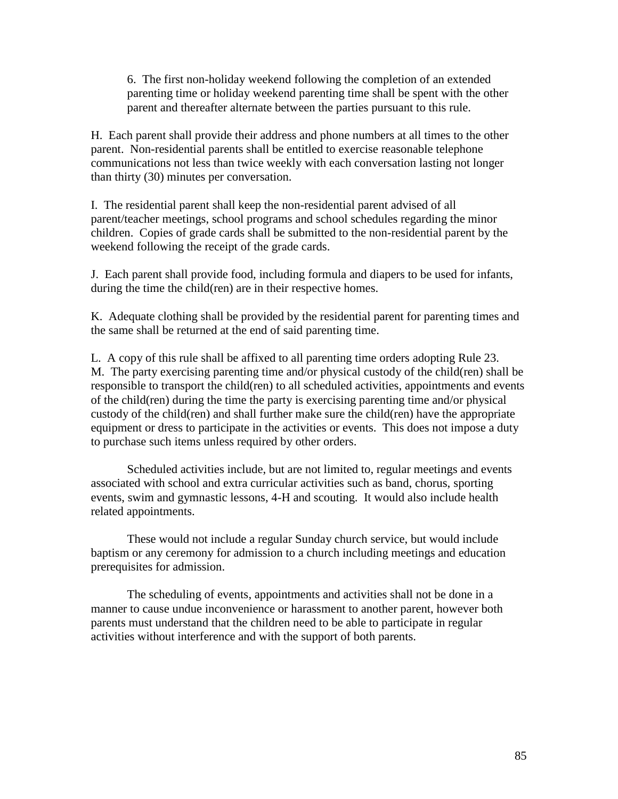6. The first non-holiday weekend following the completion of an extended parenting time or holiday weekend parenting time shall be spent with the other parent and thereafter alternate between the parties pursuant to this rule.

H. Each parent shall provide their address and phone numbers at all times to the other parent. Non-residential parents shall be entitled to exercise reasonable telephone communications not less than twice weekly with each conversation lasting not longer than thirty (30) minutes per conversation.

I. The residential parent shall keep the non-residential parent advised of all parent/teacher meetings, school programs and school schedules regarding the minor children. Copies of grade cards shall be submitted to the non-residential parent by the weekend following the receipt of the grade cards.

J. Each parent shall provide food, including formula and diapers to be used for infants, during the time the child(ren) are in their respective homes.

K. Adequate clothing shall be provided by the residential parent for parenting times and the same shall be returned at the end of said parenting time.

L. A copy of this rule shall be affixed to all parenting time orders adopting Rule 23. M. The party exercising parenting time and/or physical custody of the child(ren) shall be responsible to transport the child(ren) to all scheduled activities, appointments and events of the child(ren) during the time the party is exercising parenting time and/or physical custody of the child(ren) and shall further make sure the child(ren) have the appropriate equipment or dress to participate in the activities or events. This does not impose a duty to purchase such items unless required by other orders.

Scheduled activities include, but are not limited to, regular meetings and events associated with school and extra curricular activities such as band, chorus, sporting events, swim and gymnastic lessons, 4-H and scouting. It would also include health related appointments.

These would not include a regular Sunday church service, but would include baptism or any ceremony for admission to a church including meetings and education prerequisites for admission.

The scheduling of events, appointments and activities shall not be done in a manner to cause undue inconvenience or harassment to another parent, however both parents must understand that the children need to be able to participate in regular activities without interference and with the support of both parents.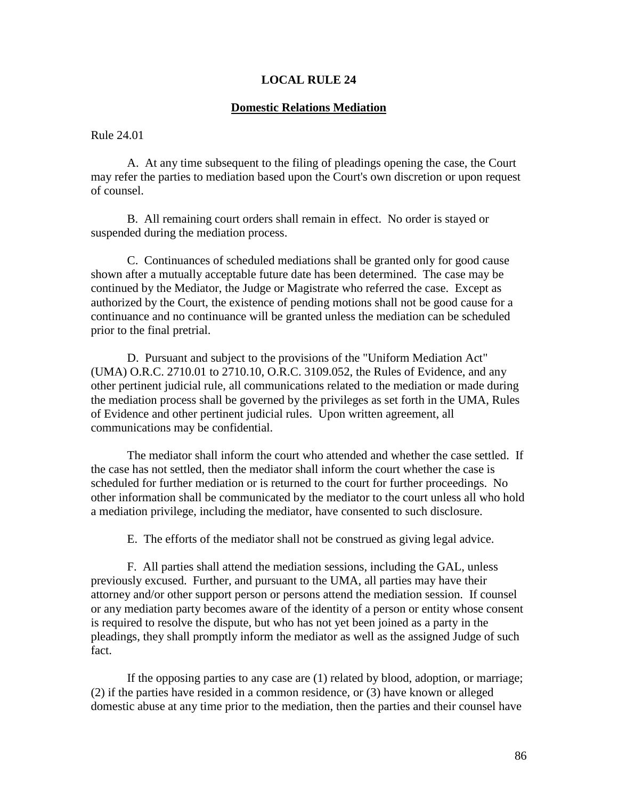## **LOCAL RULE 24**

#### **Domestic Relations Mediation**

Rule 24.01

A. At any time subsequent to the filing of pleadings opening the case, the Court may refer the parties to mediation based upon the Court's own discretion or upon request of counsel.

B. All remaining court orders shall remain in effect. No order is stayed or suspended during the mediation process.

C. Continuances of scheduled mediations shall be granted only for good cause shown after a mutually acceptable future date has been determined. The case may be continued by the Mediator, the Judge or Magistrate who referred the case. Except as authorized by the Court, the existence of pending motions shall not be good cause for a continuance and no continuance will be granted unless the mediation can be scheduled prior to the final pretrial.

D. Pursuant and subject to the provisions of the "Uniform Mediation Act" (UMA) O.R.C. 2710.01 to 2710.10, O.R.C. 3109.052, the Rules of Evidence, and any other pertinent judicial rule, all communications related to the mediation or made during the mediation process shall be governed by the privileges as set forth in the UMA, Rules of Evidence and other pertinent judicial rules. Upon written agreement, all communications may be confidential.

The mediator shall inform the court who attended and whether the case settled. If the case has not settled, then the mediator shall inform the court whether the case is scheduled for further mediation or is returned to the court for further proceedings. No other information shall be communicated by the mediator to the court unless all who hold a mediation privilege, including the mediator, have consented to such disclosure.

E. The efforts of the mediator shall not be construed as giving legal advice.

F. All parties shall attend the mediation sessions, including the GAL, unless previously excused. Further, and pursuant to the UMA, all parties may have their attorney and/or other support person or persons attend the mediation session. If counsel or any mediation party becomes aware of the identity of a person or entity whose consent is required to resolve the dispute, but who has not yet been joined as a party in the pleadings, they shall promptly inform the mediator as well as the assigned Judge of such fact.

If the opposing parties to any case are (1) related by blood, adoption, or marriage; (2) if the parties have resided in a common residence, or (3) have known or alleged domestic abuse at any time prior to the mediation, then the parties and their counsel have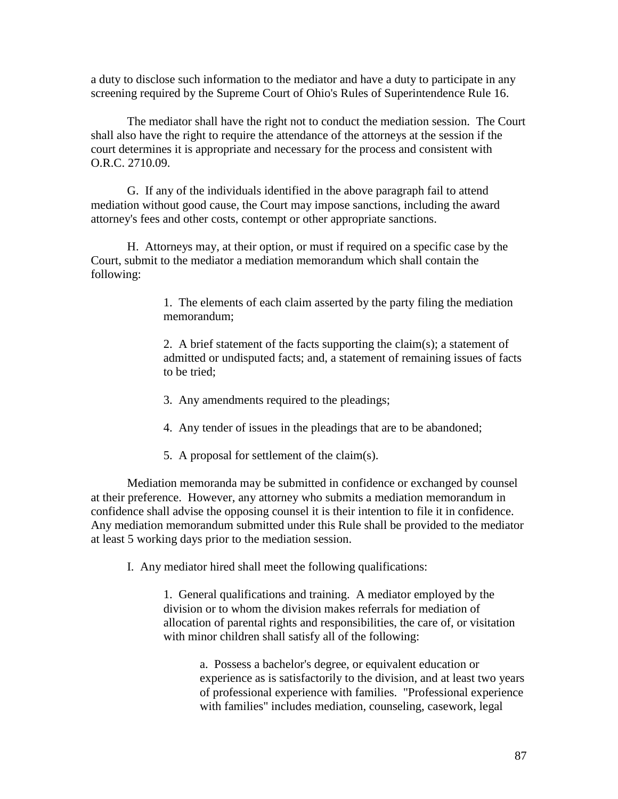a duty to disclose such information to the mediator and have a duty to participate in any screening required by the Supreme Court of Ohio's Rules of Superintendence Rule 16.

The mediator shall have the right not to conduct the mediation session. The Court shall also have the right to require the attendance of the attorneys at the session if the court determines it is appropriate and necessary for the process and consistent with O.R.C. 2710.09.

G. If any of the individuals identified in the above paragraph fail to attend mediation without good cause, the Court may impose sanctions, including the award attorney's fees and other costs, contempt or other appropriate sanctions.

H. Attorneys may, at their option, or must if required on a specific case by the Court, submit to the mediator a mediation memorandum which shall contain the following:

> 1. The elements of each claim asserted by the party filing the mediation memorandum;

2. A brief statement of the facts supporting the claim(s); a statement of admitted or undisputed facts; and, a statement of remaining issues of facts to be tried;

- 3. Any amendments required to the pleadings;
- 4. Any tender of issues in the pleadings that are to be abandoned;
- 5. A proposal for settlement of the claim(s).

Mediation memoranda may be submitted in confidence or exchanged by counsel at their preference. However, any attorney who submits a mediation memorandum in confidence shall advise the opposing counsel it is their intention to file it in confidence. Any mediation memorandum submitted under this Rule shall be provided to the mediator at least 5 working days prior to the mediation session.

I. Any mediator hired shall meet the following qualifications:

1. General qualifications and training. A mediator employed by the division or to whom the division makes referrals for mediation of allocation of parental rights and responsibilities, the care of, or visitation with minor children shall satisfy all of the following:

> a. Possess a bachelor's degree, or equivalent education or experience as is satisfactorily to the division, and at least two years of professional experience with families. "Professional experience with families" includes mediation, counseling, casework, legal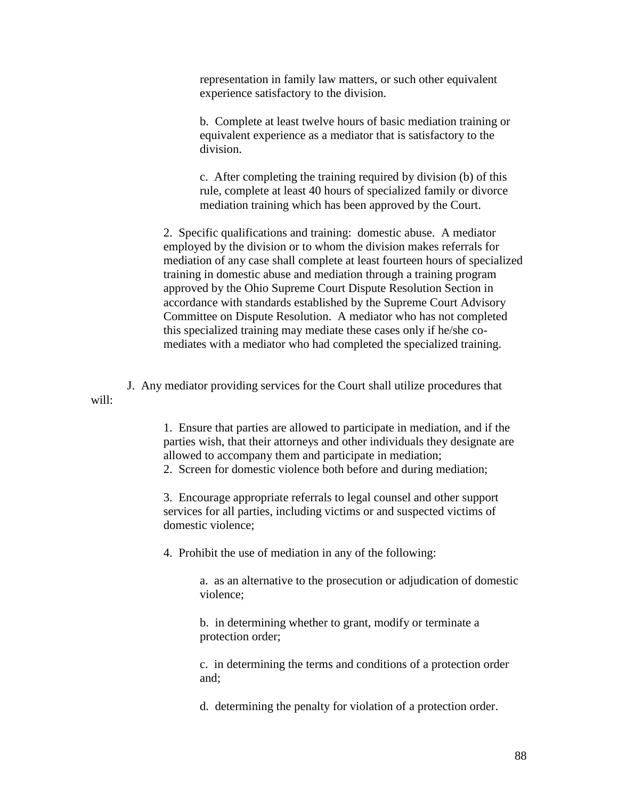representation in family law matters, or such other equivalent experience satisfactory to the division.

b. Complete at least twelve hours of basic mediation training or equivalent experience as a mediator that is satisfactory to the division.

c. After completing the training required by division (b) of this rule, complete at least 40 hours of specialized family or divorce mediation training which has been approved by the Court.

2. Specific qualifications and training: domestic abuse. A mediator employed by the division or to whom the division makes referrals for mediation of any case shall complete at least fourteen hours of specialized training in domestic abuse and mediation through a training program approved by the Ohio Supreme Court Dispute Resolution Section in accordance with standards established by the Supreme Court Advisory Committee on Dispute Resolution. A mediator who has not completed this specialized training may mediate these cases only if he/she comediates with a mediator who had completed the specialized training.

J. Any mediator providing services for the Court shall utilize procedures that will:

> 1. Ensure that parties are allowed to participate in mediation, and if the parties wish, that their attorneys and other individuals they designate are allowed to accompany them and participate in mediation;

2. Screen for domestic violence both before and during mediation;

3. Encourage appropriate referrals to legal counsel and other support services for all parties, including victims or and suspected victims of domestic violence;

4. Prohibit the use of mediation in any of the following:

a. as an alternative to the prosecution or adjudication of domestic violence;

b. in determining whether to grant, modify or terminate a protection order;

c. in determining the terms and conditions of a protection order and;

d. determining the penalty for violation of a protection order.